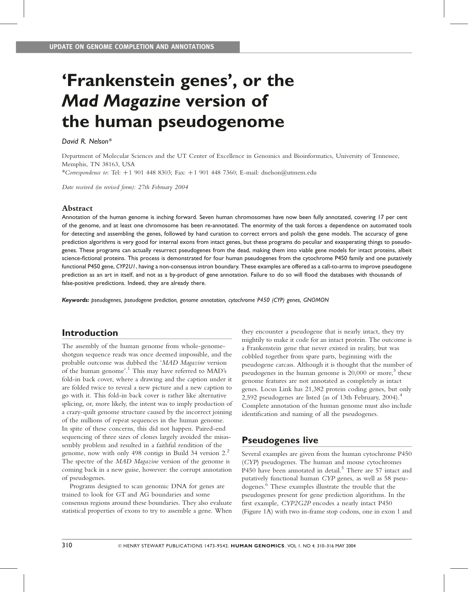# 'Frankenstein genes', or the Mad Magazine version of the human pseudogenome

#### David R. Nelson\*

Department of Molecular Sciences and the UT Center of Excellence in Genomics and Bioinformatics, University of Tennessee, Memphis, TN 38163, USA

\*Correspondence to: Tel:  $+1$  901 448 8303; Fax:  $+1$  901 448 7360; E-mail: dnelson@utmem.edu

Date received (in revised form): 27th February 2004

#### Abstract

Annotation of the human genome is inching forward. Seven human chromosomes have now been fully annotated, covering 17 per cent of the genome, and at least one chromosome has been re-annotated. The enormity of the task forces a dependence on automated tools for detecting and assembling the genes, followed by hand curation to correct errors and polish the gene models. The accuracy of gene prediction algorithms is very good for internal exons from intact genes, but these programs do peculiar and exasperating things to pseudogenes. These programs can actually resurrect pseudogenes from the dead, making them into viable gene models for intact proteins, albeit science-fictional proteins. This process is demonstrated for four human pseudogenes from the cytochrome P450 family and one putatively functional P450 gene, CYP2U1, having a non-consensus intron boundary. These examples are offered as a call-to-arms to improve pseudogene prediction as an art in itself, and not as a by-product of gene annotation. Failure to do so will flood the databases with thousands of false-positive predictions. Indeed, they are already there.

Keywords: pseudogenes, pseudogene prediction, genome annotation, cytochrome P450 (CYP) genes, GNOMON

### Introduction

The assembly of the human genome from whole-genomeshotgun sequence reads was once deemed impossible, and the probable outcome was dubbed the 'MAD Magazine version of the human genome'.<sup>1</sup> This may have referred to MAD's fold-in back cover, where a drawing and the caption under it are folded twice to reveal a new picture and a new caption to go with it. This fold-in back cover is rather like alternative splicing, or, more likely, the intent was to imply production of a crazy-quilt genome structure caused by the incorrect joining of the millions of repeat sequences in the human genome. In spite of these concerns, this did not happen. Paired-end sequencing of three sizes of clones largely avoided the misassembly problem and resulted in a faithful rendition of the genome, now with only 498 contigs in Build 34 version 2.<sup>2</sup> The spectre of the MAD Magazine version of the genome is coming back in a new guise, however: the corrupt annotation of pseudogenes.

Programs designed to scan genomic DNA for genes are trained to look for GT and AG boundaries and some consensus regions around these boundaries. They also evaluate statistical properties of exons to try to assemble a gene. When

they encounter a pseudogene that is nearly intact, they try mightily to make it code for an intact protein. The outcome is a Frankenstein gene that never existed in reality, but was cobbled together from spare parts, beginning with the pseudogene carcass. Although it is thought that the number of pseudogenes in the human genome is 20,000 or more,<sup>3</sup> these genome features are not annotated as completely as intact genes. Locus Link has 21,382 protein coding genes, but only 2,592 pseudogenes are listed (as of 13th February, 2004).<sup>4</sup> Complete annotation of the human genome must also include identification and naming of all the pseudogenes.

### Pseudogenes live

Several examples are given from the human cytochrome P450 (CYP) pseudogenes. The human and mouse cytochromes P450 have been annotated in detail.<sup>5</sup> There are 57 intact and putatively functional human CYP genes, as well as 58 pseudogenes. <sup>6</sup> These examples illustrate the trouble that the pseudogenes present for gene prediction algorithms. In the first example, CYP2G2P encodes a nearly intact P450 (Figure 1A) with two in-frame stop codons, one in exon 1 and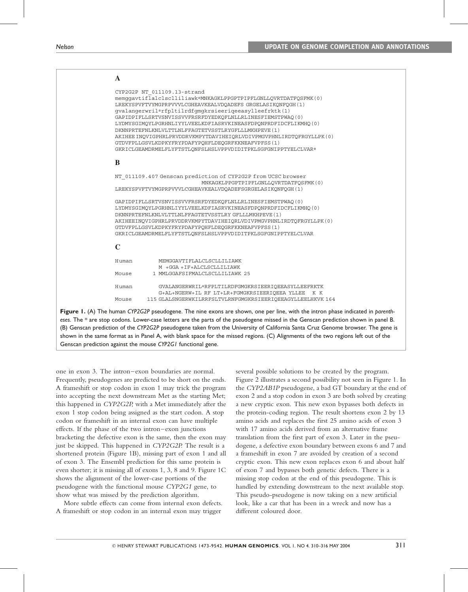|             | CYP2G2P NT 011109.13-strand                                         |
|-------------|---------------------------------------------------------------------|
|             | memqqavtiflalclsclliliawk*MNKAGKLPPGPTPIPFLGNLLOVRTDATFOSFMK(0)     |
|             | LREKYSPVFTVYMGPRPVVVLCGHEAVKEALVDOADEFS GRGELASIKONFOGH (1)         |
|             | qvalangerwril*rfpltilrdfgmgkrsieerigeeasylleefrktk(1)               |
|             | GAPIDPIFLLSRTVSNVISSVVFRSRFDYEDKOFLNLLRLINESFIEMSTPWAO(0)           |
|             | LYDMYSGIMOYLPGRHNLIYYLVEELKDFIASRVKINEASFDPONPRDFIDCFLIKMHO(0)      |
|             | DKNNPRTEFNLKNLVLTTLNLFFAGTETVSSTLRYGFLLLMKHPEVE(1)                  |
|             | AKIHEE INOVIGPHRLPRVDDRVKMPYTDAVIHEIORLVDIVPMGVPHNLIRDTOFRGYLLPK(0) |
|             | GTDVFPLLGSVLKDPKYFRYPDAFYPOHFLDEOGRFKKNEAFVPFSS(1)                  |
|             | GKRICLGEAMDRMELFLYFTSTLONFSLHSLVPPVDIDITPKLSGFGNIPPTYELCLVAR*       |
| B           |                                                                     |
|             | NT 011109.407 Genscan prediction of CYP2G2P from UCSC browser       |
|             | MNKAGKLPPGPTPIPFLGNLLOVRTDATFOSFMK(0)                               |
|             | LREKYSPVFTVYMGPRPVVVLCGHEAVKEALVDOADEFSGRGELASIKONFOGH(1)           |
|             | GAPIDPIFLLSRTVSNVISSVVFRSRFDYEDKOFLNLLRLINESFIEMSTPWAO(0)           |
|             | LYDMYSGIMOYLPGRHNLIYYLVEELKDFIASRVKINEASFDPONPRDFIDCFLIKMHO(0)      |
|             | DKNNPRTEFNLKNLVLTTLNLFFAGTETVSSTLRY GFLLLMKHPEVE (1)                |
|             | AKIHEEINOVIGPHRLPRVDDRVKMPYTDAVIHEIORLVDIVPMGVPHNLIRDTOFRGYLLPK(0)  |
|             | GTDVFPLLGSVLKDPKYFRYPDAFYPOHFLDEOGRFKKNEAFVPFSS(1)                  |
|             | GKRICLGEAMDRMELFLYFTSTLONFSLHSLVPPVDIDITPKLSGFGNIPPTYELCLVAR        |
| $\mathbf C$ |                                                                     |
| Human       | MEMGGAVTIFLALCLSCLLILIAWK                                           |
|             | M +GGA +IF+ALCLSCLLILIAWK                                           |
| Mouse       | 1 MMLGGAFSIFMALCLSCLLILIAWK 25                                      |
| Human       | GVALANGERWRIL*RFPLTILRDFGMGKRSIEERIOEEASYLLEEFRKTK                  |
|             | G+AL+NGERW+IL RF LT+LR+FGMGKRSIEERIOEEA YLLEE K K                   |
| Mouse       | 115 GLALSNGERWKILRRFSLTVLRNFGMGKRSIEERIOEEAGYLLEELHKVK 164          |

eses. The \* are stop codons. Lower-case letters are the parts of the pseudogene missed in the Genscan prediction shown in panel B. (B) Genscan prediction of the CYP2G2P pseudogene taken from the University of California Santa Cruz Genome browser. The gene is shown in the same format as in Panel A, with blank space for the missed regions. (C) Alignments of the two regions left out of the Genscan prediction against the mouse CYP2G1 functional gene.

one in exon 3. The intron–exon boundaries are normal. Frequently, pseudogenes are predicted to be short on the ends. A frameshift or stop codon in exon 1 may trick the program into accepting the next downstream Met as the starting Met; this happened in CYP2G2P, with a Met immediately after the exon 1 stop codon being assigned as the start codon. A stop codon or frameshift in an internal exon can have multiple effects. If the phase of the two intron–exon junctions bracketing the defective exon is the same, then the exon may just be skipped. This happened in CYP2G2P. The result is a shortened protein (Figure 1B), missing part of exon 1 and all of exon 3. The Ensembl prediction for this same protein is even shorter; it is missing all of exons 1, 3, 8 and 9. Figure 1C shows the alignment of the lower-case portions of the pseudogene with the functional mouse CYP2G1 gene, to show what was missed by the prediction algorithm.

More subtle effects can come from internal exon defects. A frameshift or stop codon in an internal exon may trigger

several possible solutions to be created by the program. Figure 2 illustrates a second possibility not seen in Figure 1. In the CYP2AB1P pseudogene, a bad GT boundary at the end of exon 2 and a stop codon in exon 3 are both solved by creating a new cryptic exon. This new exon bypasses both defects in the protein-coding region. The result shortens exon 2 by 13 amino acids and replaces the first 25 amino acids of exon 3 with 17 amino acids derived from an alternative frame translation from the first part of exon 3. Later in the pseudogene, a defective exon boundary between exons 6 and 7 and a frameshift in exon 7 are avoided by creation of a second cryptic exon. This new exon replaces exon 6 and about half of exon 7 and bypasses both genetic defects. There is a missing stop codon at the end of this pseudogene. This is handled by extending downstream to the next available stop. This pseudo-pseudogene is now taking on a new artificial look, like a car that has been in a wreck and now has a different coloured door.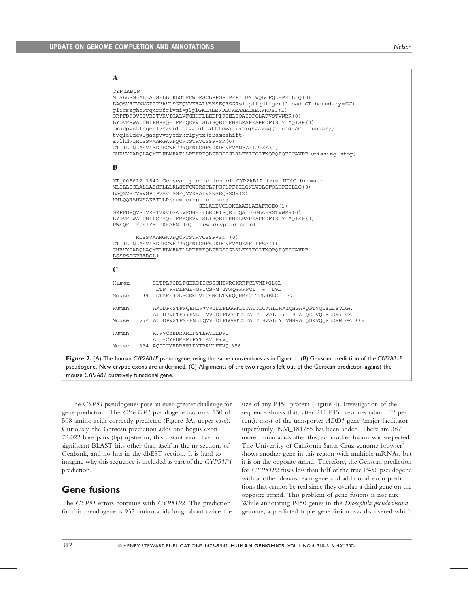| $\mathbf{A}$                                                                                                                                                                                                                                                                                                                                                                                                                                                                                                                                                                                                                                  |  |  |  |
|-----------------------------------------------------------------------------------------------------------------------------------------------------------------------------------------------------------------------------------------------------------------------------------------------------------------------------------------------------------------------------------------------------------------------------------------------------------------------------------------------------------------------------------------------------------------------------------------------------------------------------------------------|--|--|--|
| CYP2AB1P<br>MLSLLSGLALLAISFLLLKLGTFCWDRSCLPPGPLPFPILGNLWQLCFQLHPETLLQ(0)<br>LAQSVFTVWVGPIPVAVLSGFQVVKEALVSNSEQFSGRsltplfqdlfqer(1 bad GT boundary=GC)<br>giicssghtwrqkrrfclvmi*glglGKLALEVQLQKEAAELAEAFRQEQ(1)<br>GRPFDPOVSIVRSTVRVIGALVFGHHFLLEDPIFOELTOAIDFGLAFVSTVWRR(0)<br>LYDVFPWALCHLPGPHOEIFRYOEVVLSLIHOEITRHKLRAPEAPRDFISCYLAOISK(0)<br>amddpvstfnqenlv*vvidlflqqtdttattlcwalihmiqhqavqq(1 bad AG boundary)<br>tvgleldevlgaapvvcyedrkrlpytx (frameshift)<br>avlhdvqRLSSVMAMGAVRQCVTSTRVCSYPVSK(0)<br>GTIILPNLASVLYDPECWETPRQFNPGHFSDKDGNFVANEAFLPFSA(1)<br>GHRVYPADQLAQMELFLMFATLLRTFRFQLPEGSPGLKLEYIFGGTWQPQPQEICAVPR (missing stop) |  |  |  |
| $\bf{B}$                                                                                                                                                                                                                                                                                                                                                                                                                                                                                                                                                                                                                                      |  |  |  |
| NT 005612.1542 Genscan prediction of CYP2AB1P from UCSC browser<br>MLSLLSGLALLAISFLLLKLGTFCWDRSCLPPGPLPFPILGNLWQLCFQLHPETLLQ(0)<br>LAOSVFTVWVGPIPVAVLSGFOVVKEALVSNSEOFSGR(2)<br>HHLQQRAHVAAKETLLP (new cryptic exon)<br>GKLALEVQLQKEAAELAEAFRQEQ(1)<br>GRPFDPQVSIVRSTVRVIGALVFGHHFLLEDPIFQELTQAIDFGLAFVSTVWRR(0)<br>LYDVFPWALCHLPGPHQEIFRYQEVVLSLIHQEITRHKLRAPEAPRDFISCYLAQISK(0)<br>PWSQFLIFDSIYELPKHAEN (0) (new cryptic exon)                                                                                                                                                                                                              |  |  |  |
| RLSSVMAMGAVROCVTSTRVCSYPVSK (0)<br>GTIILPNLASVLYDPECWETPROFNPGHFSDKDGNFVANEAFLPFSA(1)<br>GHRVYPADOLAOMELFLMFATLLRTFRFOLPEGSPGLKLEYIFGGTWOPOPOEICAVPR<br>LSSPSPGPREDGL*                                                                                                                                                                                                                                                                                                                                                                                                                                                                        |  |  |  |
| $\mathbf C$                                                                                                                                                                                                                                                                                                                                                                                                                                                                                                                                                                                                                                   |  |  |  |
| Human<br>SLTPLFQDLFGERGIICSSGHTWRQKRRFCLVMI*GLGL<br>LTP F+DLFGE+G+ICS+G TWRQ+RRFCL + LGL<br>99 PLTPFFRDLFGEKGVICSNGLTWRQQRRFCLTTLRELGL 137<br>Mouse                                                                                                                                                                                                                                                                                                                                                                                                                                                                                           |  |  |  |
| AMDDPVSTFNOENLV*VVIDLFLGGTDTTATTLCWALIHMIOHGAVOGTVOLELDEVLGA<br>Human<br>A+DDPVSTF++ENL+ VVIDLFLGGTDTTATTL WALI+++ H A+OG VO ELDE+LGA                                                                                                                                                                                                                                                                                                                                                                                                                                                                                                         |  |  |  |
| 274 AIDDPVSTFSEENLIOVVIDLFLGGTDTTATTLHWALIYLVHHRAIOGRVOOELDEMLGA 333<br>Mouse                                                                                                                                                                                                                                                                                                                                                                                                                                                                                                                                                                 |  |  |  |
| APVVCYEDRKRLPYTXAVLHDVQ<br>Human<br>A +CYEDR+RLPYT AVLH+VQ                                                                                                                                                                                                                                                                                                                                                                                                                                                                                                                                                                                    |  |  |  |
| 334 AQTICYEDRERLPYTRAVLHEVQ 356<br>Mouse                                                                                                                                                                                                                                                                                                                                                                                                                                                                                                                                                                                                      |  |  |  |
| Figure 2. (A) The human CYP2ABIP pseudogene, using the same conventions as in Figure 1. (B) Genscan prediction of the CYP2ABIF<br>pseudogene. New cryptic exons are underlined. (C) Alignments of the two regions left out of the Genscan prediction against the                                                                                                                                                                                                                                                                                                                                                                              |  |  |  |

mouse CYP2AB1 putatively functional gene.

The CYP51 pseudogenes pose an even greater challenge for gene prediction. The CYP51P1 pseudogene has only 130 of 508 amino acids correctly predicted (Figure 3A, upper case). Curiously, the Genscan prediction adds one bogus exon 72,022 base pairs (bp) upstream; this distant exon has no significant BLAST hits other than itself in the nr section, of Genbank, and no hits in the dbEST section. It is hard to imagine why this sequence is included as part of the CYP51P1 prediction.

# Gene fusions

The CYP51 errors continue with CYP51P2. The prediction for this pseudogene is 937 amino acids long, about twice the size of any P450 protein (Figure 4). Investigation of the sequence shows that, after 211 P450 residues (about 42 per cent), most of the transporter ADD1 gene (major facilitator superfamily) NM\_181785 has been added. There are 387 more amino acids after this, so another fusion was suspected. The University of California Santa Cruz genome browser<sup>7</sup> shows another gene in this region with multiple mRNAs, but it is on the opposite strand. Therefore, the Genscan prediction for CYP51P2 fuses less than half of the true P450 pseudogene with another downstream gene and additional exon predictions that cannot be real since they overlap a third gene on the opposite strand. This problem of gene fusions is not rare. While annotating P450 genes in the Drosophila pseudoobscura genome, a predicted triple-gene fusion was discovered which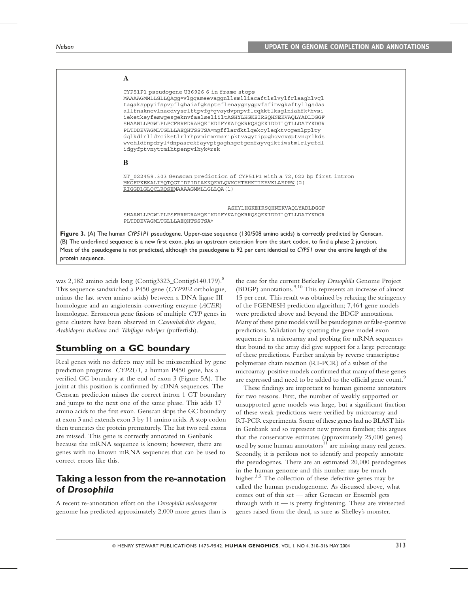

was 2,182 amino acids long (Contig3323\_Contig6140.179).<sup>8</sup> This sequence sandwiched a P450 gene (CYP9F2 orthologue, minus the last seven amino acids) between a DNA ligase III homologue and an angiotensin-converting enzyme (ACER) homologue. Erroneous gene fusions of multiple CYP genes in gene clusters have been observed in Caenorhabditis elegans, Arabidopsis thaliana and Takifugu rubripes (pufferfish).

# Stumbling on a GC boundary

Real genes with no defects may still be misassembled by gene prediction programs. CYP2U1, a human P450 gene, has a verified GC boundary at the end of exon 3 (Figure 5A). The joint at this position is confirmed by cDNA sequences. The Genscan prediction misses the correct intron 1 GT boundary and jumps to the next one of the same phase. This adds 17 amino acids to the first exon. Genscan skips the GC boundary at exon 3 and extends exon 3 by 11 amino acids. A stop codon then truncates the protein prematurely. The last two real exons are missed. This gene is correctly annotated in Genbank because the mRNA sequence is known; however, there are genes with no known mRNA sequences that can be used to correct errors like this.

# Taking a lesson from the re-annotation of Drosophila

A recent re-annotation effort on the Drosophila melanogaster genome has predicted approximately 2,000 more genes than is the case for the current Berkeley Drosophila Genome Project (BDGP) annotations. <sup>9</sup>,<sup>10</sup> This represents an increase of almost 15 per cent. This result was obtained by relaxing the stringency of the FGENESH prediction algorithm; 7,464 gene models were predicted above and beyond the BDGP annotations. Many of these gene models will be pseudogenes or false-positive predictions. Validation by spotting the gene model exon sequences in a microarray and probing for mRNA sequences that bound to the array did give support for a large percentage of these predictions. Further analysis by reverse transcriptase polymerase chain reaction (RT-PCR) of a subset of the microarray-positive models confirmed that many of these genes are expressed and need to be added to the official gene count.<sup>9</sup>

These findings are important to human genome annotators for two reasons. First, the number of weakly supported or unsupported gene models was large, but a significant fraction of these weak predictions were verified by microarray and RT-PCR experiments. Some of these genes had no BLAST hits in Genbank and so represent new protein families; this argues that the conservative estimates (approximately 25,000 genes) used by some human annotators<sup>11</sup> are missing many real genes. Secondly, it is perilous not to identify and properly annotate the pseudogenes. There are an estimated 20,000 pseudogenes in the human genome and this number may be much higher.<sup>3,5</sup> The collection of these defective genes may be called the human pseudogenome. As discussed above, what comes out of this set — after Genscan or Ensembl gets through with it  $-$  is pretty frightening. These are vivisected genes raised from the dead, as sure as Shelley's monster.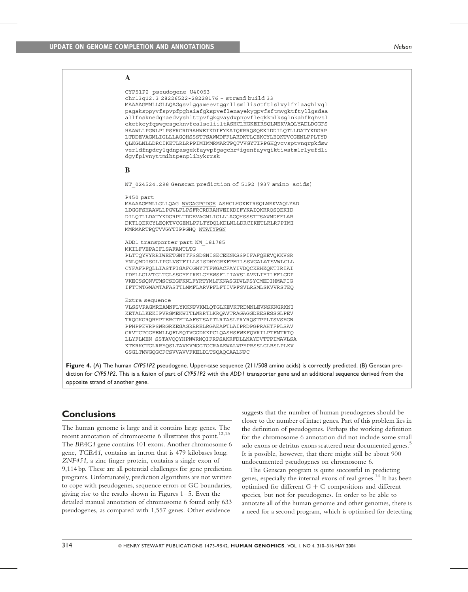#### **A** CYP51P2 pseudogene U40053 chr13q12.3 28226522-28228176 + strand build 33 MAAAAGMMLLGLLQAGgsvlgqameevtggnllsmlliactftlslvylfrlaaghlvql pagaksppyvfspvpfpghaiafgkspveflenayekygpvfsftmvgktftyllgsdaa allfnsknedqnaedvyshlttpvfgkgvaydvpnpvfleqkkmlksglnkahfkqhvsl eketkeyfqswgesgeknvfealseliiltASHCLHGKEIRSQLNEKVAQLYADLDGGFS HAAWLLPGWLPLPSFRCRDRAHWEIKDIFYKAIQKRRQSQEKIDDILQTLLDATYKDGRP LTDDEVAGMLIGLLLAGQHSSSTTSAWMDFFLARDKTLQEKCYLEQKTVCGENLPPLTYD QLKGLNLLDRCIKETLRLRPPIMIMMRMARTPQTVVGYTIPPGHQvcvsptvnqrpkdsw verldfnpdcylqdnpasgekfayvpfgagchr∗igenfayvqiktiwstmlrlyefdli dgyfpivnyttmihtpenplihykrrsk **B** NT 024524.298 Genscan prediction of 51P2 (937 amino acids) P450 part MAAAAGMMLLGLLQAG WVGAGPGDGE ASHCLHGKEIRSQLNEKVAQLYAD LDGGFSHAAWLLPGWLPLPSFRCRDRAHWEIKDIFYKAIQKRRQSQEKID DILQTLLDATYKDGRPLTDDEVAGMLIGLLLAGQHSSSTTSAWMDFFLAR DKTLQEKCYLEQKTVCGENLPPLTYDQLKDLNLLDRCIKETLRLRPPIMI MMRMARTPQTVVGYTIPPGHQ NTATYPGN ADD1 transporter part NM\_181785 MKILFVEPAIFLSAFAMTLTG PLTTQYVYRRIWEETGNYTFSSDSNISECEKNKSSPIFAFQEEVQKKVSR FNLQMDISGLIPGLVSTFILLSISDHYGRKFPMILSSVGALATSVWLCLL CYFAFPFQLLIASTFIGAFCGNYTTFWGACFAYIVDQCKEHKQKTIRIAI IDFLLGLVTGLTGLSSGYFIRELGFEWSFLIIAVSLAVNLIYILFFLGDP VKECSSQNVTMSCSEGFKNLFYRTYMLFKNASGIWLFSYCMEDIHMAFIG IFTTMTGMAMTAFASTTLMMFLARVPFLFTIVPFSVLRSMLSKVVRSTEQ Extra sequence VLSSVPAGMREAMNFLYKKNPVKMLQTGLKEVKTRDMNLEVNSKNGRKNI KETALLKEKIPVRGMEKWITLWRRTLKRQAVTRAGAGGDEESESSGLPEV TRQGKGRQRHPTERCTFTAAFSTSAPTLRTASLPRYRQSTPPLTSVSEGW PPHPPEVRPSWRGRKEGAGRRRELRGAEAPTLAIPRDPGPRAHTFPLSAV GRVTCPGGFEMLLQFLEQTVGGDKKPCLQASHSFWKFQVRILPTFMTRTQ LLYFLMEN SSTAVQQYHPNWRNQIFRPSAKRFDLLNAYDVTTPIMAVLSA KTKRKCTGLRREQSLTAVKVMGGTGCRAAEWALWPFPRSSLGLRSLPLKV GSGLTMWGQGCFCSVVAVVFKELDLTSQAQCAALNPC

Figure 4. (A) The human CYP51P2 pseudogene. Upper-case sequence (211/508 amino acids) is correctly predicted. (B) Genscan prediction for CYP51P2. This is a fusion of part of CYP51P2 with the ADD1 transporter gene and an additional sequence derived from the opposite strand of another gene.

## **Conclusions**

The human genome is large and it contains large genes. The recent annotation of chromosome 6 illustrates this point.<sup>12,13</sup> The BPAG1 gene contains 101 exons. Another chromosome 6 gene, TCBA1, contains an intron that is 479 kilobases long. ZNF451, a zinc finger protein, contains a single exon of 9,114 bp. These are all potential challenges for gene prediction programs. Unfortunately, prediction algorithms are not written to cope with pseudogenes, sequence errors or GC boundaries, giving rise to the results shown in Figures 1–5. Even the detailed manual annotation of chromosome 6 found only 633 pseudogenes, as compared with 1,557 genes. Other evidence

suggests that the number of human pseudogenes should be closer to the number of intact genes. Part of this problem lies in the definition of pseudogenes. Perhaps the working definition for the chromosome 6 annotation did not include some small solo exons or detritus exons scattered near documented genes. 5 It is possible, however, that there might still be about 900 undocumented pseudogenes on chromosome 6.

The Genscan program is quite successful in predicting genes, especially the internal exons of real genes. 14 It has been optimised for different  $G + C$  compositions and different species, but not for pseudogenes. In order to be able to annotate all of the human genome and other genomes, there is a need for a second program, which is optimised for detecting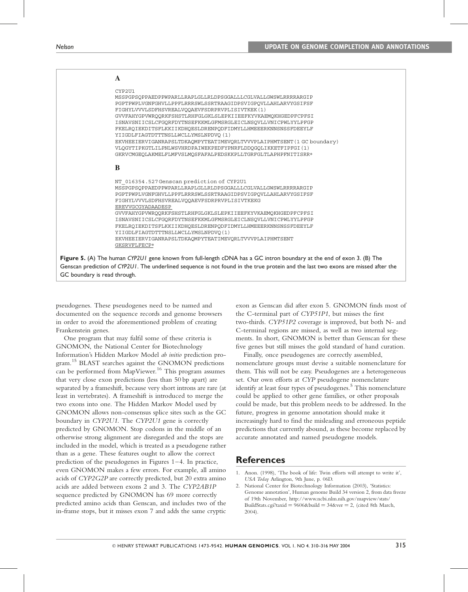| A                                                                                                                                                                                                                                                                                                                                                                                                                                                                                                                                                                                                                                         |
|-------------------------------------------------------------------------------------------------------------------------------------------------------------------------------------------------------------------------------------------------------------------------------------------------------------------------------------------------------------------------------------------------------------------------------------------------------------------------------------------------------------------------------------------------------------------------------------------------------------------------------------------|
| CYP2U1<br>MSSPGPSOPPAEDPPWPARLLRAPLGLLRLDPSGGALLLCGLVALLGWSWLRRRRARGIP<br>PGPTPWPLVGNFGHVLLPPFLRRRSWLSSRTRAAGIDPSVIGPOVLLAHLARVYGSIFSF<br>FIGHYLVVVLSDFHSVREALVOOAEVFSDRPRVPLISIVTKEK(1)<br>GVVFAHYGPVWROORKFSHSTLRHFGLGKLSLEPKIIEEFKYVKAEMOKHGEDPFCPFSI<br>ISNAVSNIICSLCFGORFDYTNSEFKKMLGFMSRGLEICLNSOVLLVNICPWLYYLPFGP<br>FKELROIEKDITSFLKKIIKDHOESLDRENPODFIDMYLLHMEEERKNNSNSSFDEEYLF<br>YIIGDLFIAGTDTTTNSLLWCLLYMSLNPDVQ (1)<br>EKVHEEIERVIGANRAPSLTDKAOMPYTEATIMEVORLTVVVPLAIPHMTSENT (1 GC boundary)<br>VLOGYTIPKGTLILPNLWSVHRDPAIWEKPEDFYPNRFLDDOGOLIKKETFIPFGI(1)<br>GKRVCMGEOLAKMELFLMFVSLMOSFAFALPEDSKKPLLTGRFGLTLAPHPFNITISRR* |
| B                                                                                                                                                                                                                                                                                                                                                                                                                                                                                                                                                                                                                                         |
| NT_016354.527Genscan prediction of CYP2U1<br>MSSPGPSOPPAEDPPWPARLLRAPLGLLRLDPSGGALLLCGLVALLGWSWLRRRRARGIP<br>PGPTPWPLVGNFGHVLLPPFLRRRSWLSSRTRAAGIDPSVIGPOVLLAHLARVYGSIFSF<br>FIGHYLVVVLSDFHSVREALVOOAEVFSDRPRVPLISIVTKEKG<br>EREVVGCGYADAADESP<br>GVVFAHYGPVWROORKFSHSTLRHFGLGKLSLEPKIIEEFKYVKAEMOKHGEDPFCPFSI<br>ISNAVSNIICSLCFGORFDYTNSEFKKMLGFMSRGLEICLNSOVLLVNICPWLYYLPFGP<br>FKELROIEKDITSFLKKIIKDHOESLDRENPODFIDMYLLHMEEERKNNSNSSFDEEYLF<br>YIIGDLFIAGTDTTTNSLLWCLLYMSLNPDVO(1)<br>EKVHEEIERVIGANRAPSLTDKAOMPYTEATIMEVORLTVVVPLAIPHMTSENT<br>GKSRVFLFECP*                                                                           |
| Figure 5. (A) The human CYP2U1 gene known from full-length cDNA has a GC intron boundary at the end of exon 3. (B) The                                                                                                                                                                                                                                                                                                                                                                                                                                                                                                                    |
| Genscan prediction of CYP2U1. The underlined sequence is not found in the true protein and the last two exons are missed after the                                                                                                                                                                                                                                                                                                                                                                                                                                                                                                        |
| GC boundary is read through.                                                                                                                                                                                                                                                                                                                                                                                                                                                                                                                                                                                                              |

pseudogenes. These pseudogenes need to be named and documented on the sequence records and genome browsers in order to avoid the aforementioned problem of creating Frankenstein genes.

One program that may fulfil some of these criteria is GNOMON, the National Center for Biotechnology Information's Hidden Markov Model ab initio prediction program. <sup>1</sup><sup>5</sup> BLAST searches against the GNOMON predictions can be performed from MapViewer. <sup>16</sup> This program assumes that very close exon predictions (less than 50 bp apart) are separated by a frameshift, because very short introns are rare (at least in vertebrates). A frameshift is introduced to merge the two exons into one. The Hidden Markov Model used by GNOMON allows non-consensus splice sites such as the GC boundary in CYP2U1. The CYP2U1 gene is correctly predicted by GNOMON. Stop codons in the middle of an otherwise strong alignment are disregarded and the stops are included in the model, which is treated as a pseudogene rather than as a gene. These features ought to allow the correct prediction of the pseudogenes in Figures 1–4. In practice, even GNOMON makes a few errors. For example, all amino acids of CYP2G2P are correctly predicted, but 20 extra amino acids are added between exons 2 and 3. The CYP2AB1P sequence predicted by GNOMON has 69 more correctly predicted amino acids than Genscan, and includes two of the in-frame stops, but it misses exon 7 and adds the same cryptic exon as Genscan did after exon 5. GNOMON finds most of the C-terminal part of CYP51P1, but misses the first two-thirds. CYP51P2 coverage is improved, but both N- and C-terminal regions are missed, as well as two internal segments. In short, GNOMON is better than Genscan for these five genes but still misses the gold standard of hand curation.

Finally, once pseudogenes are correctly assembled, nomenclature groups must devise a suitable nomenclature for them. This will not be easy. Pseudogenes are a heterogeneous set. Our own efforts at CYP pseudogene nomenclature identify at least four types of pseudogenes. <sup>5</sup> This nomenclature could be applied to other gene families, or other proposals could be made, but this problem needs to be addressed. In the future, progress in genome annotation should make it increasingly hard to find the misleading and erroneous peptide predictions that currently abound, as these become replaced by accurate annotated and named pseudogene models.

### **References**

<sup>1.</sup> Anon. (1998), 'The book of life: Twin efforts will attempt to write it', USA Today Arlington, 9th June, p. 06D.

<sup>2.</sup> National Center for Biotechnology Information (2003), 'Statistics: Genome annotation', Human genome Build 34 version 2, from data freeze of 19th November, http://www.ncbi.nlm.nih.gov/mapview/stats/ BuildStats.cgi?taxid =  $9606$ &build =  $34$ &ver = 2, (cited 8th March, 2004).